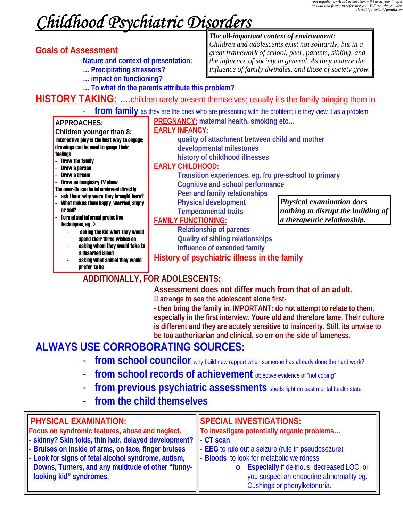# *Childhood Psychiatric Disorders*

**Goals of Assessment**<br>**Nature and context of presentation:** 

- **… Precipitating stressors?**
- **… impact on functioning? … To what do the parents attribute this problem?**

#### *The all-important context of environment:*

*Children and adolescents exist not solitarily, but in a great framework of school, peer, parents, sibling, and the influence of society in general. As they mature the influence of family dwindles, and those of society grow.*

HISTORY TAKING: ....children rarely present themselves; usually it's the family bringing them in

**from family** as they are the ones who are presenting with the problem; i.e they view it as a problem **PREGNANCY: maternal health, smoking etc…**

**quality of attachment between child and mother** 

**Transition experiences, eg. fro pre-school to primary** 

#### **APPROACHES:**

#### **Children younger than 8:**  Interactive play is the best way to engage; drawings can be used to gauge their feelings.

- Draw the family
- Draw a person
- Draw a dream
- Draw an imaginary TV show
- The over-8s can be interviewed directly.
- ask them: why were they brought here? - What makes them happy, worried, angry or sad?
- Formal and informal projective techniques, eq $\rightarrow$ 
	- asking the kid what they would spend their three wishes on
	- asking whom they would take to a deserted island
	- asking what animal they would prefer to be

#### **Cognitive and school performance Peer and family relationships**

**developmental milestones history of childhood illnesses** 

 **Physical development Temperamental traits** 

#### **FAMILY FUNCTIONING:**

**EARLY INFANCY:**

**EARLY CHILDHOOD:**

**Relationship of parents Quality of sibling relationships Influence of extended family** 

*Physical examination does nothing to disrupt the building of a therapeutic relationship.*

# **History of psychiatric illness in the family**

# **ADDITIONALLY, FOR ADOLESCENTS:**

 **Assessment does not differ much from that of an adult.** 

 **!! arrange to see the adolescent alone first-** 

 **- then bring the family in. IMPORTANT: do not attempt to relate to them, especially in the first interview. Youre old and therefore lame. Their culture is different and they are acutely sensitive to insincerity. Still, its unwise to be too authoritarian and clinical, so err on the side of lameness.** 

# **ALWAYS USE CORROBORATING SOURCES:**

- **from school councilor** why build new rapport when someone has already done the hard work?
- **from school records of achievement** objective evidence of "not coping"
- **from previous psychiatric assessments** sheds light on past mental health state
- **from the child themselves**

#### **PHYSICAL EXAMINATION: Focus on syndromic features, abuse and neglect.**  - **skinny? Skin folds, thin hair, delayed development?** - **Bruises on inside of arms, on face, finger bruises**  Look for signs of fetal alcohol syndrome, autism, **Downs, Turners, and any multitude of other "funnylooking kid" syndromes.**  - **SPECIAL INVESTIGATIONS: To investigate potentially organic problems…**  - **CT scan EEG** to rule out a seizure (rule in pseudosezure) **Bloods** to look for metabolic weirdness o **Especially** if delirious, decreased LOC, or you suspect an endocrine abnormality eg. Cushings or phenylketonuria.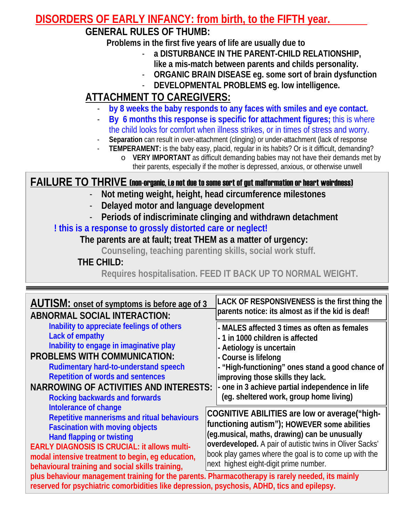# **DISORDERS OF EARLY INFANCY: from birth, to the FIFTH year.**

# **GENERAL RULES OF THUMB:**

 **Problems in the first five years of life are usually due to** 

- **a DISTURBANCE IN THE PARENT-CHILD RELATIONSHIP, like a mis-match between parents and childs personality.**
- **ORGANIC BRAIN DISEASE eg. some sort of brain dysfunction**
- **DEVELOPMENTAL PROBLEMS eg. low intelligence.**

# **ATTACHMENT TO CAREGIVERS:**

- **by 8 weeks the baby responds to any faces with smiles and eye contact.**
- **By 6 months this response is specific for attachment figures;** this is where the child looks for comfort when illness strikes, or in times of stress and worry.
- Separation can result in over-attachment (clinging) or under-attachment (lack of response
	- **TEMPERAMENT:** is the baby easy, placid, regular in its habits? Or is it difficult, demanding? o **VERY IMPORTANT** as difficult demanding babies may not have their demands met by
		- their parents, especially if the mother is depressed, anxious, or otherwise unwell

### **FAILURE TO THRIVE** (non-organic, i.e not due to some sort of gut malformation or heart weirdness)

- **Not meting weight, height, head circumference milestones**
- **Delayed motor and language development**
- **Periods of indiscriminate clinging and withdrawn detachment**

# **! this is a response to grossly distorted care or neglect!**

### **The parents are at fault; treat THEM as a matter of urgency:**

**Counseling, teaching parenting skills, social work stuff.** 

### **THE CHILD:**

**Requires hospitalisation. FEED IT BACK UP TO NORMAL WEIGHT.** 

| <b>AUTISM:</b> onset of symptoms is before age of 3                                                                                                                                             | LACK OF RESPONSIVENESS is the first thing the            |  |
|-------------------------------------------------------------------------------------------------------------------------------------------------------------------------------------------------|----------------------------------------------------------|--|
| <b>ABNORMAL SOCIAL INTERACTION:</b>                                                                                                                                                             | parents notice: its almost as if the kid is deaf!        |  |
| Inability to appreciate feelings of others                                                                                                                                                      | - MALES affected 3 times as often as females             |  |
| Lack of empathy                                                                                                                                                                                 | - 1 in 1000 children is affected                         |  |
| Inability to engage in imaginative play                                                                                                                                                         | - Aetiology is uncertain                                 |  |
| <b>PROBLEMS WITH COMMUNICATION:</b>                                                                                                                                                             | - Course is lifelong                                     |  |
| <b>Rudimentary hard-to-understand speech</b>                                                                                                                                                    | - "High-functioning" ones stand a good chance of         |  |
| <b>Repetition of words and sentences</b>                                                                                                                                                        | improving those skills they lack.                        |  |
| <b>NARROWING OF ACTIVITIES AND INTERESTS:</b>                                                                                                                                                   | - one in 3 achieve partial independence in life          |  |
| <b>Rocking backwards and forwards</b>                                                                                                                                                           | (eg. sheltered work, group home living)                  |  |
| Intolerance of change                                                                                                                                                                           | COGNITIVE ABILITIES are low or average ("high-           |  |
| Repetitive mannerisms and ritual behaviours                                                                                                                                                     | functioning autism"); HOWEVER some abilities             |  |
| <b>Fascination with moving objects</b>                                                                                                                                                          | (eg.musical, maths, drawing) can be unusually            |  |
| <b>Hand flapping or twisting</b>                                                                                                                                                                | overdeveloped. A pair of autistic twins in Oliver Sacks' |  |
| <b>EARLY DIAGNOSIS IS CRUCIAL: it allows multi-</b>                                                                                                                                             | book play games where the goal is to come up with the    |  |
| modal intensive treatment to begin, eg education,                                                                                                                                               | next highest eight-digit prime number.                   |  |
| behavioural training and social skills training,                                                                                                                                                |                                                          |  |
| plus behaviour management training for the parents. Pharmacotherapy is rarely needed, its mainly<br>reserved for psychiatric comorbidities like depression, psychosis, ADHD, tics and epilepsy. |                                                          |  |
|                                                                                                                                                                                                 |                                                          |  |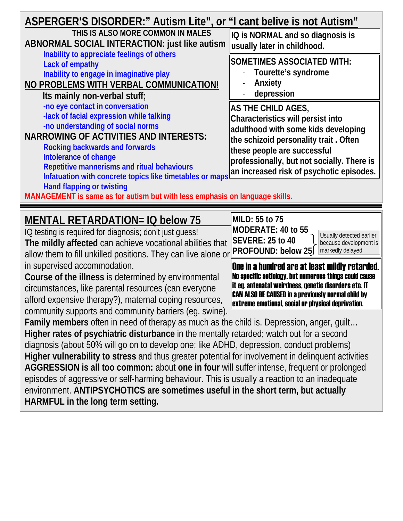| ASPERGER'S DISORDER:" Autism Lite", or "I cant belive is not Autism"<br>THIS IS ALSO MORE COMMON IN MALES<br>ABNORMAL SOCIAL INTERACTION: just like autism<br>Inability to appreciate feelings of others<br>Lack of empathy<br>Inability to engage in imaginative play<br>NO PROBLEMS WITH VERBAL COMMUNICATION!<br>Its mainly non-verbal stuff;                                                                                                                  | IQ is NORMAL and so diagnosis is<br>usually later in childhood.                                                                                                                                                                                                  |
|-------------------------------------------------------------------------------------------------------------------------------------------------------------------------------------------------------------------------------------------------------------------------------------------------------------------------------------------------------------------------------------------------------------------------------------------------------------------|------------------------------------------------------------------------------------------------------------------------------------------------------------------------------------------------------------------------------------------------------------------|
|                                                                                                                                                                                                                                                                                                                                                                                                                                                                   | <b>SOMETIMES ASSOCIATED WITH:</b><br>Tourette's syndrome<br>Anxiety<br>depression                                                                                                                                                                                |
| -no eye contact in conversation<br>-lack of facial expression while talking<br>-no understanding of social norms<br><b>NARROWING OF ACTIVITIES AND INTERESTS:</b><br><b>Rocking backwards and forwards</b><br>Intolerance of change<br>Repetitive mannerisms and ritual behaviours<br>Infatuation with concrete topics like timetables or maps<br><b>Hand flapping or twisting</b><br>MANAGEMENT is same as for autism but with less emphasis on language skills. | AS THE CHILD AGES,<br>Characteristics will persist into<br>adulthood with some kids developing<br>the schizoid personality trait. Often<br>these people are successful<br>professionally, but not socially. There is<br>an increased risk of psychotic episodes. |
| <b>MENTAL RETARDATION= IQ below 75</b><br>IQ testing is required for diagnosis; don't just guess!                                                                                                                                                                                                                                                                                                                                                                 | MILD: 55 to 75<br>MODERATE: 40 to 55                                                                                                                                                                                                                             |
| The mildly affected can achieve vocational abilities that                                                                                                                                                                                                                                                                                                                                                                                                         | Usually detected earlier<br><b>SEVERE: 25 to 40</b><br>because development is                                                                                                                                                                                    |

**The mildly affected** can achieve vocational abilities that allow them to fill unkilled positions. They can live alone or! in supervised accommodation.

**Course of the illness** is determined by environmental circumstances, like parental resources (can everyone afford expensive therapy?), maternal coping resources, community supports and community barriers (eg. swine).

One in a hundred are at least mildly retarded. No specific aetiology, but numerous things could cause it eg. antenatal weirdness, genetic disorders etc. IT CAN ALSO BE CAUSED in a previously normal child by extreme emotional, social or physical deprivation.

markedly delayed

**PROFOUND: below 25** 

**Family members** often in need of therapy as much as the child is. Depression, anger, guilt… **Higher rates of psychiatric disturbance** in the mentally retarded; watch out for a second diagnosis (about 50% will go on to develop one; like ADHD, depression, conduct problems) **Higher vulnerability to stress** and thus greater potential for involvement in delinquent activities **AGGRESSION is all too common:** about **one in four** will suffer intense, frequent or prolonged episodes of aggressive or self-harming behaviour. This is usually a reaction to an inadequate environment. **ANTIPSYCHOTICS are sometimes useful in the short term, but actually HARMFUL in the long term setting.**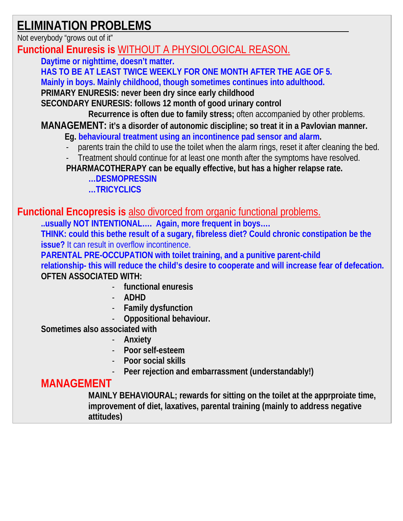# **ELIMINATION PROBLEMS**

Not everybody "grows out of it"

**Functional Enuresis is** WITHOUT A PHYSIOLOGICAL REASON.

**Daytime or nighttime, doesn't matter. HAS TO BE AT LEAST TWICE WEEKLY FOR ONE MONTH AFTER THE AGE OF 5. Mainly in boys. Mainly childhood, though sometimes continues into adulthood. PRIMARY ENURESIS: never been dry since early childhood SECONDARY ENURESIS: follows 12 month of good urinary control Recurrence is often due to family stress;** often accompanied by other problems. **MANAGEMENT: it's a disorder of autonomic discipline; so treat it in a Pavlovian manner. Eg. behavioural treatment using an incontinence pad sensor and alarm.**  parents train the child to use the toilet when the alarm rings, reset it after cleaning the bed. Treatment should continue for at least one month after the symptoms have resolved. **PHARMACOTHERAPY can be equally effective, but has a higher relapse rate. …DESMOPRESSIN …TRICYCLICS Functional Encopresis is** also divorced from organic functional problems. **..usually NOT INTENTIONAL…. Again, more frequent in boys…. THINK: could this bethe result of a sugary, fibreless diet? Could chronic constipation be the issue?** It can result in overflow incontinence.

**PARENTAL PRE-OCCUPATION with toilet training, and a punitive parent-child relationship- this will reduce the child's desire to cooperate and will increase fear of defecation. OFTEN ASSOCIATED WITH:** 

- **functional enuresis**
- **ADHD**
- **Family dysfunction**
- **Oppositional behaviour.**

**Sometimes also associated with** 

- **Anxiety**
- **Poor self-esteem**
- **Poor social skills**
- Peer rejection and embarrassment (understandably!)

# **MANAGEMENT**

**MAINLY BEHAVIOURAL; rewards for sitting on the toilet at the apprproiate time, improvement of diet, laxatives, parental training (mainly to address negative attitudes)**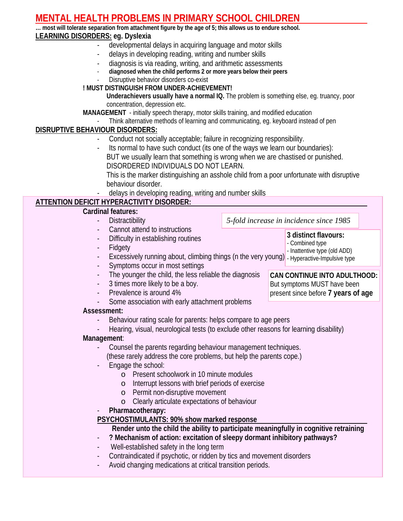# **MENTAL HEALTH PROBLEMS IN PRIMARY SCHOOL CHILDREN**

**… most will tolerate separation from attachment figure by the age of 5; this allows us to endure school. LEARNING DISORDERS: eg. Dyslexia** 

- developmental delays in acquiring language and motor skills
- delays in developing reading, writing and number skills
- 
- diagnosis is via reading, writing, and arithmetic assessments diagnosed when the child performs 2 or more years below their peers
- Disruptive behavior disorders co-exist

#### **! MUST DISTINGUISH FROM UNDER-ACHIEVEMENT!**

- **Underachievers usually have a normal IQ.** The problem is something else, eg. truancy, poor concentration, depression etc.
- **MANAGEMENT**  initially speech therapy, motor skills training, and modified education
	- Think alternative methods of learning and communicating, eg. keyboard instead of pen

#### **DISRUPTIVE BEHAVIOUR DISORDERS:**

- Conduct not socially acceptable; failure in recognizing responsibility.
- Its normal to have such conduct (its one of the ways we learn our boundaries): BUT we usually learn that something is wrong when we are chastised or punished. DISORDERED INDIVIDUALS DO NOT LEARN.
	- This is the marker distinguishing an asshole child from a poor unfortunate with disruptive behaviour disorder.
- delays in developing reading, writing and number skills

#### **ATTENTION DEFICIT HYPERACTIVITY DISORDER:**

#### **Cardinal features:**

- Distractibility
	- Cannot attend to instructions
- Difficulty in establishing routines
- **Fidgety**
- Excessively running about, climbing things (n the very young) Hyperactive-Impulsive type - Inattentive type (old ADD)
- Symptoms occur in most settings
- The younger the child, the less reliable the diagnosis
- 3 times more likely to be a boy.
- Prevalence is around 4%
	- Some association with early attachment problems

#### **Assessment:**

- Behaviour rating scale for parents: helps compare to age peers
- Hearing, visual, neurological tests (to exclude other reasons for learning disability)

#### **Management**:

- Counsel the parents regarding behaviour management techniques. (these rarely address the core problems, but help the parents cope.)
- Engage the school:
	- o Present schoolwork in 10 minute modules
	- o Interrupt lessons with brief periods of exercise
	- o Permit non-disruptive movement
	- o Clearly articulate expectations of behaviour
- **Pharmacotherapy:**

#### **PSYCHOSTIMULANTS: 90% show marked response**

 **Render unto the child the ability to participate meaningfully in cognitive retraining** 

- ? Mechanism of action: excitation of sleepy dormant inhibitory pathways?
- Well-established safety in the long term
- Contraindicated if psychotic, or ridden by tics and movement disorders
- Avoid changing medications at critical transition periods.

**CAN CONTINUE INTO ADULTHOOD:** But symptoms MUST have been present since before **7 years of age**

**3 distinct flavours:**  - Combined type

*5-fold increase in incidence since 1985*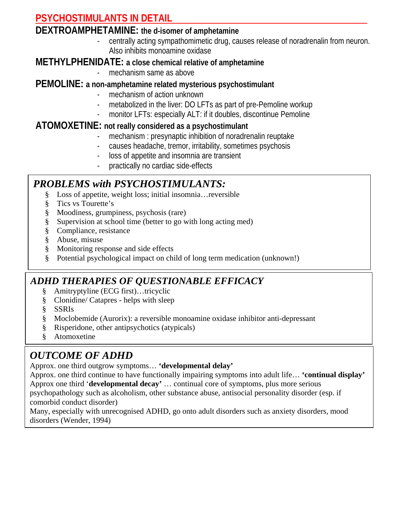# **PSYCHOSTIMULANTS IN DETAIL**

#### **DEXTROAMPHETAMINE: the d-isomer of amphetamine**

- centrally acting sympathomimetic drug, causes release of noradrenalin from neuron. Also inhibits monoamine oxidase

#### **METHYLPHENIDATE: a close chemical relative of amphetamine**

mechanism same as above

#### **PEMOLINE: a non-amphetamine related mysterious psychostimulant**

- mechanism of action unknown
	- metabolized in the liver: DO LFTs as part of pre-Pemoline workup
- monitor LFTs: especially ALT: if it doubles, discontinue Pemoline

#### **ATOMOXETINE: not really considered as a psychostimulant**

- mechanism : presynaptic inhibition of noradrenalin reuptake
- causes headache, tremor, irritability, sometimes psychosis
- loss of appetite and insomnia are transient
- practically no cardiac side-effects

# *PROBLEMS with PSYCHOSTIMULANTS:*

- § Loss of appetite, weight loss; initial insomnia…reversible
- § Tics vs Tourette's
- § Moodiness, grumpiness, psychosis (rare)
- § Supervision at school time (better to go with long acting med)
- § Compliance, resistance
- § Abuse, misuse
- § Monitoring response and side effects
- § Potential psychological impact on child of long term medication (unknown!)

### *ADHD THERAPIES OF QUESTIONABLE EFFICACY*

- § Amitryptyline (ECG first)…tricyclic
- § Clonidine/ Catapres helps with sleep
- § SSRIs
- § Moclobemide (Aurorix): a reversible monoamine oxidase inhibitor anti-depressant
- § Risperidone, other antipsychotics (atypicals)
- § Atomoxetine

# *OUTCOME OF ADHD*

Approx. one third outgrow symptoms… **'developmental delay'**

Approx. one third continue to have functionally impairing symptoms into adult life… **'continual display'** Approx one third '**developmental decay'** … continual core of symptoms, plus more serious psychopathology such as alcoholism, other substance abuse, antisocial personality disorder (esp. if

comorbid conduct disorder)

Many, especially with unrecognised ADHD, go onto adult disorders such as anxiety disorders, mood disorders (Wender, 1994)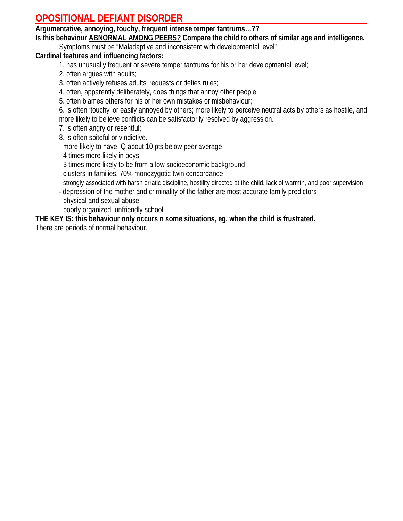# **OPOSITIONAL DEFIANT DISORDER**

**Argumentative, annoying, touchy, frequent intense temper tantrums…??** 

**Is this behaviour ABNORMAL AMONG PEERS? Compare the child to others of similar age and intelligence.** 

Symptoms must be "Maladaptive and inconsistent with developmental level"

#### **Cardinal features and influencing factors:**

- 1. has unusually frequent or severe temper tantrums for his or her developmental level;
- 2. often argues with adults;
- 3. often actively refuses adults' requests or defies rules;
- 4. often, apparently deliberately, does things that annoy other people;
- 5. often blames others for his or her own mistakes or misbehaviour;

6. is often 'touchy' or easily annoyed by others; more likely to perceive neutral acts by others as hostile, and more likely to believe conflicts can be satisfactorily resolved by aggression.

7. is often angry or resentful;

8. is often spiteful or vindictive.

- more likely to have IQ about 10 pts below peer average
- 4 times more likely in boys
- 3 times more likely to be from a low socioeconomic background
- clusters in families, 70% monozygotic twin concordance
- strongly associated with harsh erratic discipline, hostility directed at the child, lack of warmth, and poor supervision
- depression of the mother and criminality of the father are most accurate family predictors
- physical and sexual abuse
- poorly organized, unfriendly school

#### **THE KEY IS: this behaviour only occurs n some situations, eg. when the child is frustrated.**

There are periods of normal behaviour.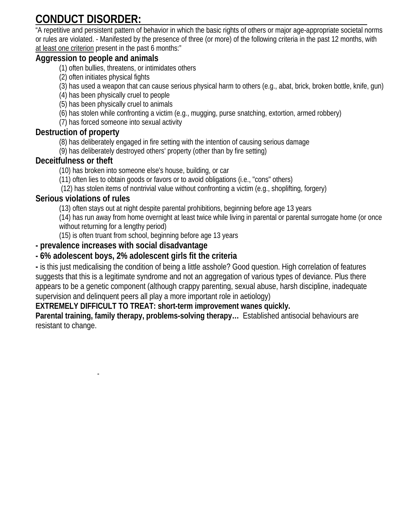# **CONDUCT DISORDER:**

"A repetitive and persistent pattern of behavior in which the basic rights of others or major age-appropriate societal norms or rules are violated. - Manifested by the presence of three (or more) of the following criteria in the past 12 months, with at least one criterion present in the past 6 months:"

#### **Aggression to people and animals**

- (1) often bullies, threatens, or intimidates others
- (2) often initiates physical fights
- (3) has used a weapon that can cause serious physical harm to others (e.g., abat, brick, broken bottle, knife, gun)
- (4) has been physically cruel to people
- (5) has been physically cruel to animals
- (6) has stolen while confronting a victim (e.g., mugging, purse snatching, extortion, armed robbery)
- (7) has forced someone into sexual activity

#### **Destruction of property**

(8) has deliberately engaged in fire setting with the intention of causing serious damage

(9) has deliberately destroyed others' property (other than by fire setting)

#### **Deceitfulness or theft**

(10) has broken into someone else's house, building, or car

- (11) often lies to obtain goods or favors or to avoid obligations (i.e., "cons" others)
- (12) has stolen items of nontrivial value without confronting a victim (e.g., shoplifting, forgery)

#### **Serious violations of rules**

(13) often stays out at night despite parental prohibitions, beginning before age 13 years

(14) has run away from home overnight at least twice while living in parental or parental surrogate home (or once without returning for a lengthy period)

(15) is often truant from school, beginning before age 13 years

#### **- prevalence increases with social disadvantage**

-

#### **- 6% adolescent boys, 2% adolescent girls fit the criteria**

**-** is this just medicalising the condition of being a little asshole? Good question. High correlation of features suggests that this is a legitimate syndrome and not an aggregation of various types of deviance. Plus there appears to be a genetic component (although crappy parenting, sexual abuse, harsh discipline, inadequate supervision and delinquent peers all play a more important role in aetiology)

#### **EXTREMELY DIFFICULT TO TREAT: short-term improvement wanes quickly.**

**Parental training, family therapy, problems-solving therapy…** Established antisocial behaviours are resistant to change.